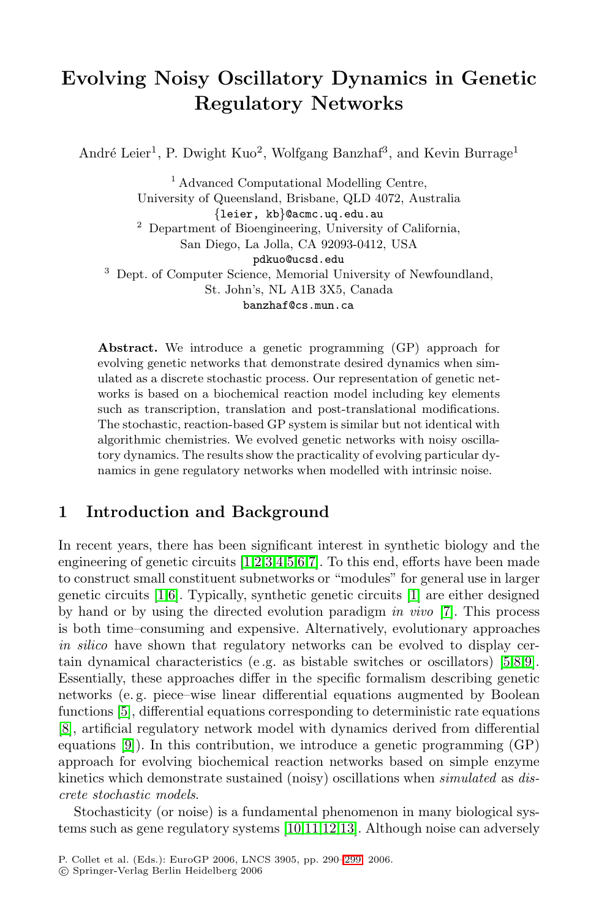# **Evolving Noisy Oscillatory Dynamics in Genetic Regulatory Networks**

André Leier<sup>1</sup>, P. Dwight Kuo<sup>2</sup>, Wolfgang Banzhaf<sup>3</sup>, and Kevin Burrage<sup>1</sup>

<sup>1</sup> Advanced Computational Modelling Centre, University of Queensland, Brisbane, QLD 4072, Australia {leier, kb}@acmc.uq.edu.au <sup>2</sup> Department of Bioengineering, University of California, San Diego, La Jolla, CA 92093-0412, USA pdkuo@ucsd.edu <sup>3</sup> Dept. of Computer Science, Memorial University of Newfoundland, St. John's, NL A1B 3X5, Canada banzhaf@cs.mun.ca

**Abstract.** We introduce a genetic programming (GP) approach for evolving genetic networks that demonstrate desired dynamics when simulated as a discrete stochastic process. Our representation of genetic networks is based on a biochemical reaction model including key elements such as transcription, translation and post-translational modifications. The stochastic, reaction-based GP system is similar but not identical with algor[ith](#page-8-0)[m](#page-8-1)[ic](#page-8-2) [c](#page-8-3)[he](#page-9-0)[m](#page-9-1)[is](#page-9-2)tries. We evolved genetic networks with noisy oscillatory dynamics. The results show the practicality of evolving particular dynamics in gene regulatory networks [w](#page-8-0)hen modelled with intrinsic noise.

## **1 Introduction and Background**

In recent years, there has been significant interest in synthetic biology and the engineering of genetic circuits [1,2,3,4,5,6,7]. To this end, efforts have been made to construct small constituent subnetworks or "modules" for general use in larger genetic circuits [1,6]. Typically, synthetic genetic circuits [1] are either designed by hand or by using the directed evolution paradigm in vivo [7]. This process is both time–consuming and expensive. Alternatively, evolutionary approaches in silico have shown that regulatory networks can be evolved to display certain dynamical characteristics (e .g. as bistable switches or oscillators) [5,8,9]. Essentially, these approaches differ in the specific formalism describing genetic networks (e. g. pi[ece–](#page-9-3)[wi](#page-9-4)[se](#page-9-5) [line](#page-9-6)ar differential equations augmented by Boolean functions [5], differential equations corresponding to deterministic rate equations [8], artificial regulatory net[work](#page-8-4) model with dynamics derived from differential equations [9]). In this contribution, we introduce a genetic programming (GP) approach for evolving biochemical reaction networks based on simple enzyme kinetics which demonstrate sustained (noisy) oscillations when simulated as discrete stochastic models.

Stochasticity (or noise) is a fundamental phenomenon in many biological systems such as gene regulatory systems [10,11,12,13]. Although noise can adversely

P. Collet et al. (Eds.): EuroGP 2006, LNCS 3905, pp. 290–299, 2006.

c Springer-Verlag Berlin Heidelberg 2006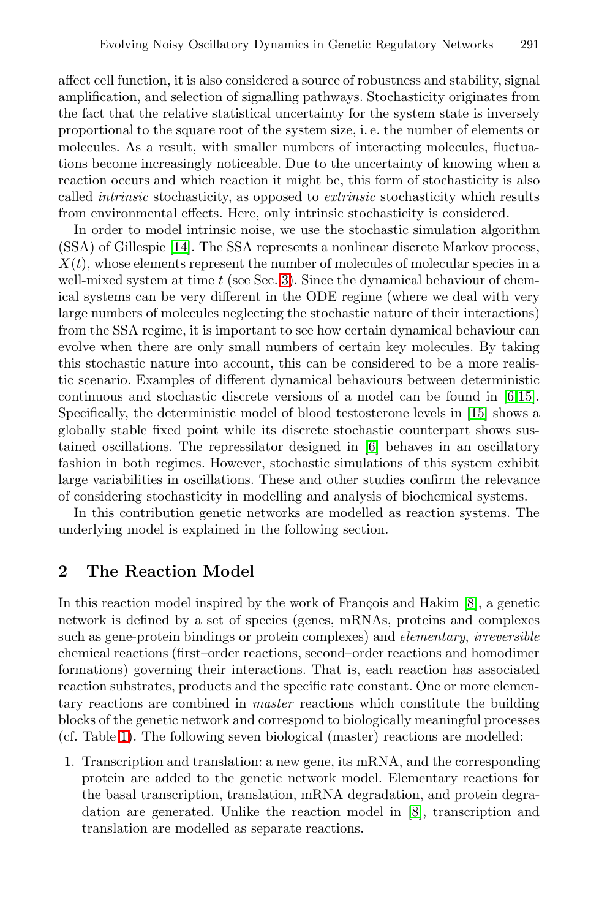affect cell function, it is also considered a source of robustness and stability, signal amplification, and selection of signalling pathways. Stochasticity originates from [the](#page-9-7) fact that the relative statistical uncertainty for the system state is inversely proportional to the square root of the system size, i. e. the number of elements or molecules. As a r[es](#page-3-0)ult, with smaller numbers of interacting molecules, fluctuations become increasingly noticeable. Due to the uncertainty of knowing when a reaction occurs and which reaction it might be, this form of stochasticity is also called intrinsic stochasticity, as opposed to extrinsic stochasticity which results from environmental effects. Here, only intrinsic stochasticity is considered.

In order to model intrinsic noise, we use the stochastic simulation algorithm (SSA) of Gillespie [14]. The SSA represents a nonlinear discrete Markov process,  $X(t)$ , whose elements represent the number of molecule[s o](#page-9-1)[f m](#page-9-8)olecular species in a well-mixed system at time  $t$  (see Sec. 3). Since th[e dy](#page-9-8)namical behaviour of chemical systems can be very different in the ODE regime (where we deal with very large numbers of molecules negl[ect](#page-9-1)ing the stochastic nature of their interactions) from the SSA regime, it is important to see how certain dynamical behaviour can evolve when there are only small numbers of certain key molecules. By taking this stochastic nature into account, this can be considered to be a more realistic scenario. Examples of different dynamical behaviours between deterministic continuous and stochastic discrete versions of a model can be found in [6,15]. Specifically, the deterministic model of blood testosterone levels in [15] shows a globally stable fixed point while its discrete stochastic counterpart shows sustained oscillations. The repressilator designed in [6] behaves in an oscillatory fashion in both regimes. However, stochastic simulations of this system exhibit large variabilities in oscillations. These and oth[er](#page-9-9) studies confirm the relevance of considering stochasticity in modelling and analysis of biochemical systems.

<span id="page-1-0"></span>In this contribution genetic networks are modelled as reaction systems. The underlying model is explained in the following section.

# **2 The Reaction Model**

In this reaction model inspired by the work of François and Hakim  $[8]$ , a genetic network is defined by a set of species (genes, mRNAs, proteins and complexes such as gene-protein bindings or protein complexes) and elementary, irreversible chemical reactions (first–order reactions, second–order reactions and homodimer formations) governing their interactions. That is, each reaction has associated reaction substrates, products and the s[pec](#page-9-9)ific rate constant. One or more elementary reactions are combined in master reactions which constitute the building blocks of the genetic network and correspond to biologically meaningful processes (cf. Table 1). The following seven biological (master) reactions are modelled:

1. Transcription and translation: a new gene, its mRNA, and the corresponding protein are added to the genetic network model. Elementary reactions for the basal transcription, translation, mRNA degradation, and protein degradation are generated. Unlike the reaction model in [8], transcription and translation are modelled as separate reactions.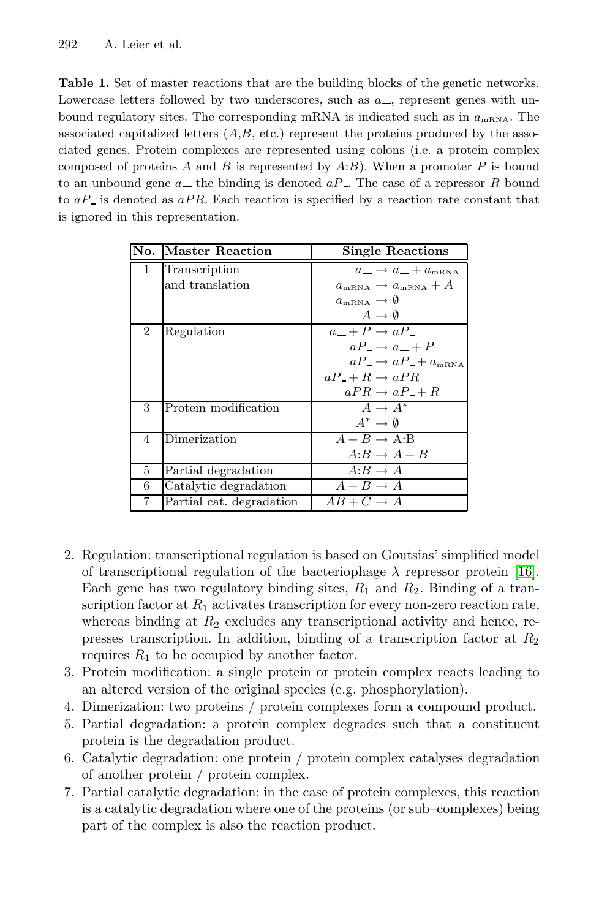**Table 1.** Set of master reactions that are the building blocks of the genetic networks. Lowercase letters followed by two underscores, such as  $a_{-}$ , represent genes with unbound regulatory sites. The corresponding mRNA is indicated such as in  $a_{\text{mRNA}}$ . The associated capitalized letters  $(A,B, etc.)$  represent the proteins produced by the associated genes. Protein complexes are represented using colons (i.e. a protein complex composed of proteins  $A$  and  $B$  is represented by  $A:B$ ). When a promoter  $P$  is bound to an unbound gene  $a$  the binding is denoted  $aP$ . The case of a repressor R bound to  $aP$  is denoted as  $aPR$ . Each reaction is specified by a reaction rate constant that is ignored in this representation.

|                | No. Master Reaction      | <b>Single Reactions</b>                     |
|----------------|--------------------------|---------------------------------------------|
| 1              | Transcription            | $a_{-} \rightarrow a_{-} + a_{\text{mRNA}}$ |
|                | and translation          | $a_{\rm mRNA} \rightarrow a_{\rm mRNA} + A$ |
|                |                          | $a_{\rm mRNA} \rightarrow \emptyset$        |
|                |                          | $A \rightarrow \emptyset$                   |
| $\overline{2}$ | Regulation               | $a_-+P \rightarrow aP_-$                    |
|                |                          | $aP \rightarrow a_- + P$                    |
|                |                          | $aP \rightarrow aP + a_{\text{mRNA}}$       |
|                |                          | $aP_-+R \rightarrow aPR$                    |
|                |                          | $aPR \rightarrow aP_{-} + R$                |
| 3              | Protein modification     | $A \rightarrow A^*$                         |
|                |                          | $A^* \to \emptyset$                         |
| 4              | Dimerization             | $A + B \rightarrow A:B$                     |
|                |                          | $A:B\to A+B$                                |
| 5              | Partial degradation      | $A:B\to A$                                  |
| 6              | Catalytic degradation    | $A + B \rightarrow A$                       |
|                | Partial cat. degradation | $AB+C\rightarrow A$                         |

- 2. Regulation: transcriptional regulation is based on Goutsias' simplified model of transcriptional regulation of the bacteriophage  $\lambda$  repressor protein [16]. Each gene has two regulatory binding sites,  $R_1$  and  $R_2$ . Binding of a transcription factor at  $R_1$  activates transcription for every non-zero reaction rate, whereas binding at  $R_2$  excludes any transcriptional activity and hence, represses transcription. In addition, binding of a transcription factor at  $R_2$ requires  $R_1$  to be occupied by another factor.
- 3. Protein modification: a single protein or protein complex reacts leading to an altered version of the original species (e.g. phosphorylation).
- 4. Dimerization: two proteins / protein complexes form a compound product.
- 5. Partial degradation: a protein complex degrades such that a constituent protein is the degradation product.
- 6. Catalytic degradation: one protein / protein complex catalyses degradation of another protein / protein complex.
- 7. Partial catalytic degradation: in the case of protein complexes, this reaction is a catalytic degradation where one of the proteins (or sub–complexes) being part of the complex is also the reaction product.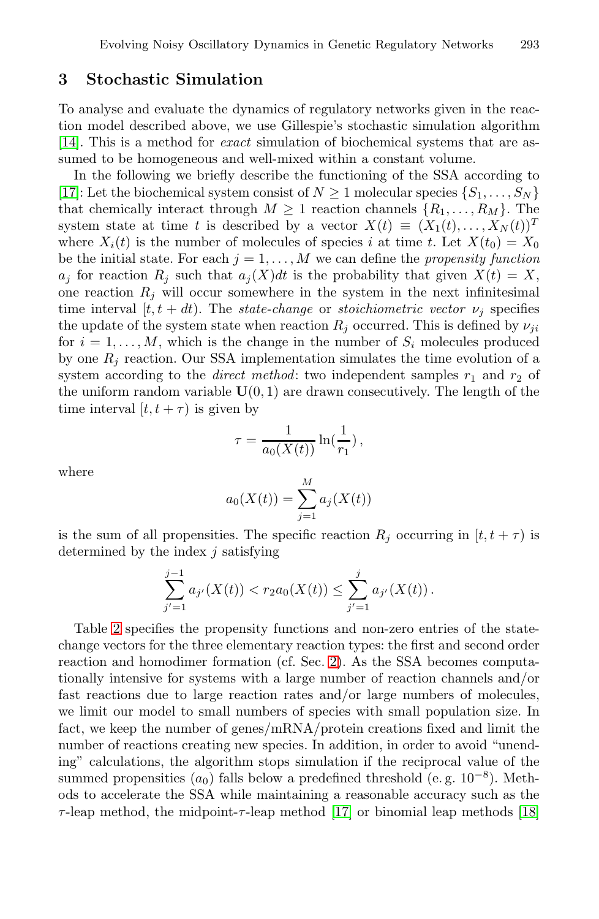#### <span id="page-3-0"></span>**3 Stochastic Simulation**

To analyse and evaluate the dynamics of regulatory networks given in the reaction model described above, we use Gillespie's stochastic simulation algorithm [14]. This is a method for exact simulation of biochemical systems that are assumed to be homogeneous and well-mixed within a constant volume.

In the following we briefly describe the functioning of the SSA according to [17]: Let the biochemical system consist of  $N \geq 1$  molecular species  $\{S_1, \ldots, S_N\}$ that chemically interact through  $M \geq 1$  reaction channels  $\{R_1, \ldots, R_M\}$ . The system state at time t is described by a vector  $X(t) \equiv (X_1(t), \ldots, X_N(t))^T$ where  $X_i(t)$  is the number of molecules of species i at time t. Let  $X(t_0) = X_0$ be the initial state. For each  $j = 1, \ldots, M$  we can define the *propensity function*  $a_j$  for reaction  $R_j$  such that  $a_j(X)dt$  is the probability that given  $X(t) = X$ , one reaction  $R_i$  will occur somewhere in the system in the next infinitesimal time interval  $[t, t + dt)$ . The state-change or stoichiometric vector  $\nu_i$  specifies the update of the system state when reaction  $R_j$  occurred. This is defined by  $\nu_{ji}$ for  $i = 1, \ldots, M$ , which is the change in the number of  $S_i$  molecules produced by one  $R_i$  reaction. Our SSA implementation simulates the time evolution of a system according to the *direct method*: two independent samples  $r_1$  and  $r_2$  of the uniform random variable  $U(0, 1)$  are drawn consecutively. The length of the time interval  $[t, t + \tau)$  is given by

$$
\tau = \frac{1}{a_0(X(t))} \ln(\frac{1}{r_1}),
$$

where

$$
a_0(X(t)) = \sum_{j=1}^{M} a_j(X(t))
$$

is the sum of all propens[itie](#page-1-0)s. The specific reaction  $R_i$  occurring in  $[t, t + \tau)$  is determined by the index  $i$  satisfying

$$
\sum_{j'=1}^{j-1} a_{j'}(X(t)) < r_2 a_0(X(t)) \le \sum_{j'=1}^{j} a_{j'}(X(t)) \, .
$$

Table 2 specifies the propensity functions and non-zero entries of the statechange vectors for the three elementary reaction types: the first and second order reaction and homodimer formation (cf. Sec. 2). As the SSA becomes computationally intensive for syste[ms](#page-9-11) with a large number of re[actio](#page-9-12)n channels and/or fast reactions due to large reaction rates and/or large numbers of molecules, we limit our model to small numbers of species with small population size. In fact, we keep the number of genes/mRNA/protein creations fixed and limit the number of reactions creating new species. In addition, in order to avoid "unending" calculations, the algorithm stops simulation if the reciprocal value of the summed propensities  $(a_0)$  falls below a predefined threshold (e.g. 10<sup>-8</sup>). Methods to accelerate the SSA while maintaining a reasonable accuracy such as the  $\tau$ -leap method, the midpoint- $\tau$ -leap method [17] or binomial leap methods [18]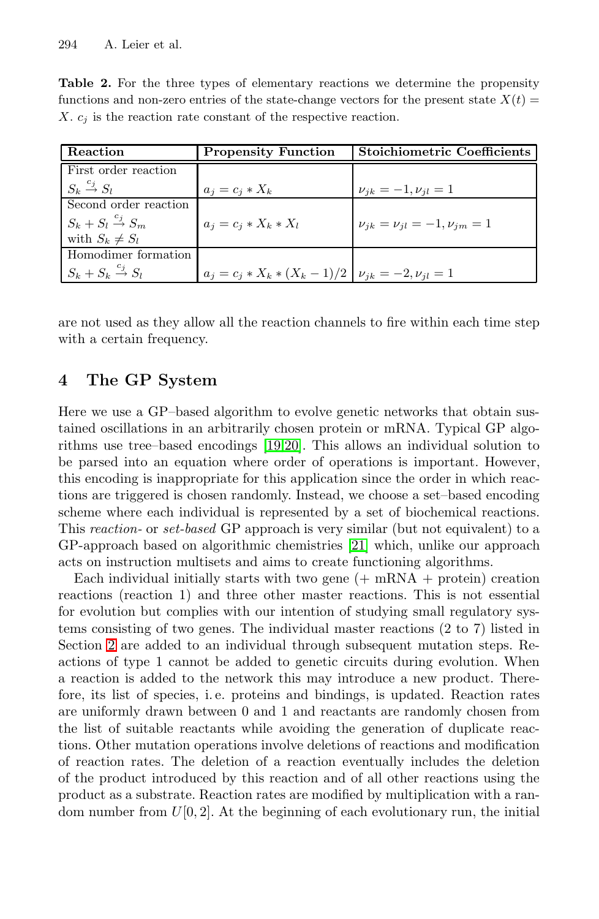**Table 2.** For the three types of elementary reactions we determine the propensity functions and non-zero entries of the state-change vectors for the present state  $X(t)$  =  $X. c<sub>i</sub>$  is the reaction rate constant of the respective reaction.

| Reaction                                    | <b>Propensity Function</b>                                       | Stoichiometric Coefficients              |
|---------------------------------------------|------------------------------------------------------------------|------------------------------------------|
| First order reaction                        |                                                                  |                                          |
| $S_k \stackrel{c_j}{\rightarrow} S_l$       | $a_j = c_j * X_k$                                                | $\nu_{ik} = -1, \nu_{il} = 1$            |
| Second order reaction                       |                                                                  |                                          |
| $S_k + S_l \stackrel{c_j}{\rightarrow} S_m$ | $a_j = c_j * X_k * X_l$                                          | $\nu_{ik} = \nu_{il} = -1, \nu_{im} = 1$ |
| with $S_k \neq S_l$                         |                                                                  |                                          |
| Homodimer formation                         |                                                                  |                                          |
| $S_k + S_k \stackrel{c_j}{\rightarrow} S_l$ | $a_j = c_j * X_k * (X_k - 1)/2 \mid \nu_{jk} = -2, \nu_{jl} = 1$ |                                          |

are not used as [th](#page-9-13)[ey](#page-9-14) [a](#page-9-14)llow all the reaction channels to fire within each time step with a certain frequency.

## **4 The GP System**

Here we use a GP–based alg[orit](#page-9-15)hm to evolve genetic networks that obtain sustained oscillations in an arbitrarily chosen protein or mRNA. Typical GP algorithms use tree–based encodings [19,20]. This allows an individual solution to be parsed into an equation where order of operations is important. However, this encoding is inappropriate for this application since the order in which reactions are triggered is chosen randomly. Instead, we choose a set–based encoding scheme where each individual is represented by a set of biochemical reactions. This reaction- or set-based GP approach is very similar (but not equivalent) to a GP-approach based on algorithmic chemistries [21] which, unlike our approach acts on instruction multisets and aims to create functioning algorithms.

Each individual initially starts with two gene  $(+$  mRNA  $+$  protein) creation reactions (reaction 1) and three other master reactions. This is not essential for evolution but complies with our intention of studying small regulatory systems consisting of two genes. The individual master reactions (2 to 7) listed in Section 2 are added to an individual through subsequent mutation steps. Reactions of type 1 cannot be added to genetic circuits during evolution. When a reaction is added to the network this may introduce a new product. Therefore, its list of species, i. e. proteins and bindings, is updated. Reaction rates are uniformly drawn between 0 and 1 and reactants are randomly chosen from the list of suitable reactants while avoiding the generation of duplicate reactions. Other mutation operations involve deletions of reactions and modification of reaction rates. The deletion of a reaction eventually includes the deletion of the product introduced by this reaction and of all other reactions using the product as a substrate. Reaction rates are modified by multiplication with a random number from  $U[0, 2]$ . At the beginning of each evolutionary run, the initial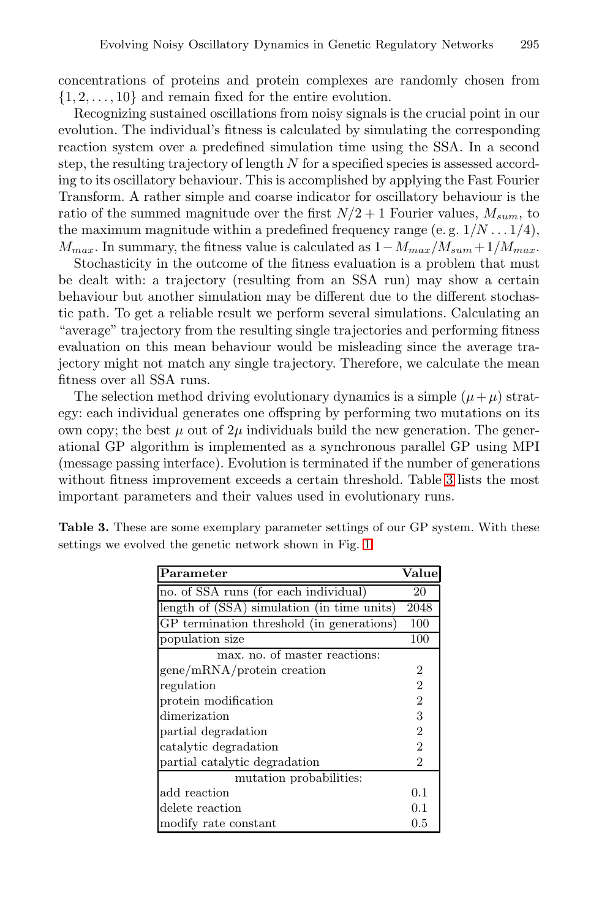concentrations of proteins and protein complexes are randomly chosen from  $\{1, 2, \ldots, 10\}$  and remain fixed for the entire evolution.

Recognizing sustained oscillations from noisy signals is the crucial point in our evolution. The individual's fitness is calculated by simulating the corresponding reaction system over a predefined simulation time using the SSA. In a second step, the resulting trajectory of length N for a specified species is assessed according to its oscillatory behaviour. This is accomplished by applying the Fast Fourier Transform. A rather simple and coarse indicator for oscillatory behaviour is the ratio of the summed magnitude over the first  $N/2 + 1$  Fourier values,  $M_{sum}$ , to the maximum magnitude within a predefined frequency range (e.g.  $1/N \dots 1/4$ ),  $M_{max}$ . In summary, the fitness value is calculated as  $1-M_{max}/M_{sum} + 1/M_{max}$ .

Stochasticity in the outcome of the fitness evaluation is a problem that must be dealt with: a trajectory (resulting from an SSA run) may show a certain behaviour but another simulation may be different due to the different stochastic path. To get a reliable result we perform several simulations. Calculating an "average" trajectory from the resulting single trajectories and performing fitness evaluation on this mean behaviour would b[e m](#page-5-0)isleading since the average trajectory might not match any single trajectory. Therefore, we calculate the mean fitness over all SSA runs.

<span id="page-5-0"></span>The selection method driving evolutionary dynamics is a simple  $(\mu + \mu)$  strategy: each individual generates [on](#page-6-0)e offspring by performing two mutations on its own copy; the best  $\mu$  out of  $2\mu$  individuals build the new generation. The generational GP algorithm is implemented as a synchronous parallel GP using MPI (message passing interface). Evolution is terminated if the number of generations without fitness improvement exceeds a certain threshold. Table 3 lists the most important parameters and their values used in evolutionary runs.

|  |  | <b>Table 3.</b> These are some exemplary parameter settings of our GP system. With these |  |  |  |
|--|--|------------------------------------------------------------------------------------------|--|--|--|
|  |  | settings we evolved the genetic network shown in Fig. 1.                                 |  |  |  |

| $\bf Parameter$                              |     |  |  |  |  |
|----------------------------------------------|-----|--|--|--|--|
| no. of SSA runs (for each individual)        |     |  |  |  |  |
| length of $(SSA)$ simulation (in time units) |     |  |  |  |  |
| GP termination threshold (in generations)    |     |  |  |  |  |
| population size                              | 100 |  |  |  |  |
| max, no. of master reactions:                |     |  |  |  |  |
| gene/mRNA/protein creation                   | 2   |  |  |  |  |
| regulation                                   |     |  |  |  |  |
| protein modification                         |     |  |  |  |  |
| dimerization                                 |     |  |  |  |  |
| partial degradation                          |     |  |  |  |  |
| catalytic degradation                        |     |  |  |  |  |
| partial catalytic degradation                | 2   |  |  |  |  |
| mutation probabilities:                      |     |  |  |  |  |
| add reaction                                 |     |  |  |  |  |
| delete reaction                              |     |  |  |  |  |
| modify rate constant                         |     |  |  |  |  |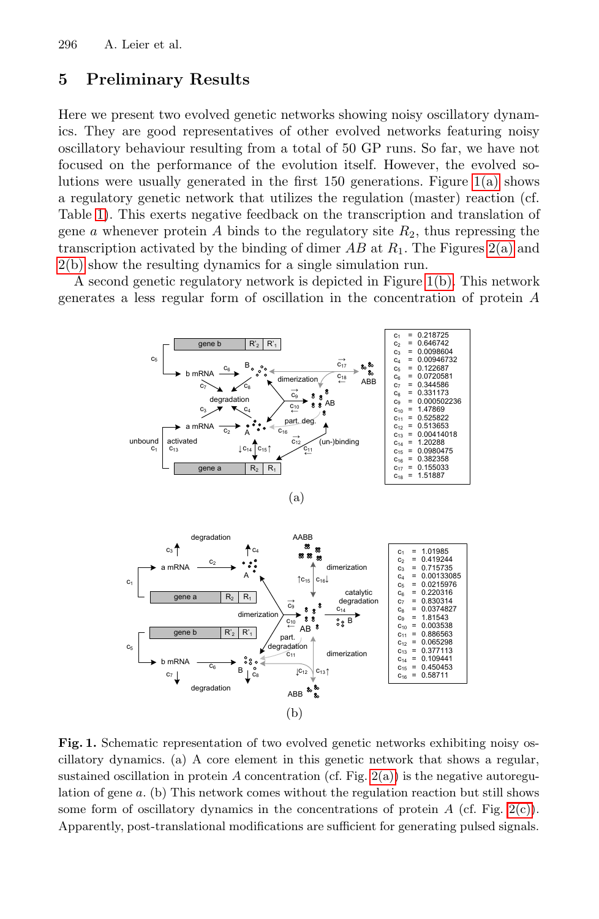# **5 Preliminary Results**

Here we present two evolved genetic networks show[ing no](#page-7-0)isy oscillatory dynamics. They are good representatives of other evolved networks featuring noisy oscillatory behaviour resulting from a to[tal of](#page-6-1) 50 GP runs. So far, we have not focused on the performance of the evolution itself. However, the evolved solutions were usually generated in the first 150 generations. Figure 1(a) shows a regulatory genetic network that utilizes the regulation (master) reaction (cf. Table 1). This exerts negative feedback on the transcription and translation of gene a whenever protein A binds to the regulatory site  $R_2$ , thus repressing the transcription activated by the binding of dimer  $AB$  at  $R_1$ . The Figures 2(a) and 2(b) show the resulting dynamics for a single simulation run.

<span id="page-6-1"></span>A second genetic regulatory network is depicted in Figure 1(b). This network generates a less regular form of oscillation in the concentration of protein A



<span id="page-6-0"></span>Fig. 1. Schematic representation of two evolved genetic networks exhibiting noisy oscillatory dynamics. (a) A core element in this genetic network that shows a regular, sustained oscillation in protein  $A$  concentration (cf. Fig. 2(a)) is the negative autoregulation of gene a. (b) This network comes without the regulation reaction but still shows some form of oscillatory dynamics in the concentrations of protein  $A$  (cf. Fig. 2(c)). Apparently, post-translational modifications are sufficient for generating pulsed signals.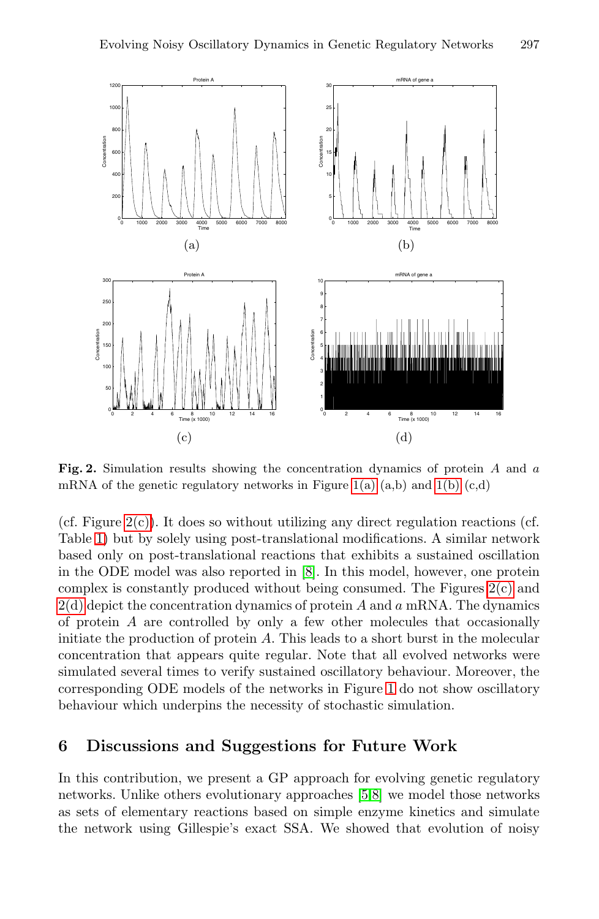<span id="page-7-1"></span><span id="page-7-0"></span>

**Fig. 2.** Simulation results showing the concentration [dynam](#page-7-1)ics of protein A and a mRNA of the genetic regulatory networks in Figure 1(a)  $(a,b)$  and 1(b)  $(c,d)$ 

(cf. Figure  $2(c)$ ). It does so without utilizing any direct regulation reactions (cf. Table 1) but by solely using post-translational modifications. A similar network based only on post-translational r[eac](#page-6-0)tions that exhibits a sustained oscillation in the ODE model was also reported in [8]. In this model, however, one protein complex is constantly produced without being consumed. The Figures 2(c) and  $2(d)$  depict the concentration dynamics of protein A and a mRNA. The dynamics of protein A are controlled by only a few other molecules that occasionally initiate the production of protein A. This leads to a short burst in the molecular concentration that appears quite regular. Note that all evolved networks were simulated several times to veri[fy](#page-9-0) [su](#page-9-9)stained oscillatory behaviour. Moreover, the corresponding ODE models of the networks in Figure 1 do not show oscillatory behaviour which underpins the necessity of stochastic simulation.

## **6 Discussions and Suggestions for Future Work**

In this contribution, we present a GP approach for evolving genetic regulatory networks. Unlike others evolutionary approaches [5,8] we model those networks as sets of elementary reactions based on simple enzyme kinetics and simulate the network using Gillespie's exact SSA. We showed that evolution of noisy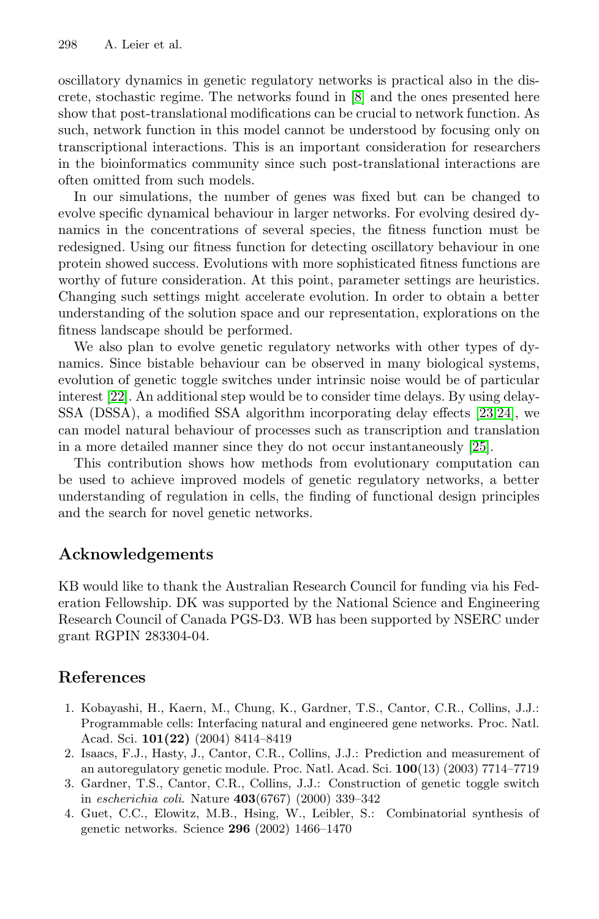oscillatory dynamics in genetic regulatory networks is practical also in the discrete, stochastic regime. The networks found in [8] and the ones presented here show that post-translational modifications can be crucial to network function. As such, network function in this model cannot be understood by focusing only on transcriptional interactions. This is an important consideration for researchers in the bioinformatics community since such post-translational interactions are often omitted from such models.

In our simulations, the number of genes was fixed but can be changed to evolve specific dynamical behaviour in larger networks. For evolving desired dynamics in the concentrations of several species, the fitness function must be redesigned. Using our fitness function for detecting oscillatory behaviour in one protein showed success. Evolutions with more sophisticated fitness functions are worthy of future consideration. At this point, par[am](#page-9-16)[eter](#page-9-17) settings are heuristics. Changing such settings might accelerate evolution. In order to obtain a better understanding of the solution space and our repr[esen](#page-9-18)tation, explorations on the fitness landscape should be performed.

We also plan to evolve genetic regulatory networks with other types of dynamics. Since bistable behaviour can be observed in many biological systems, evolution of genetic toggle switches under intrinsic noise would be of particular interest [22]. An additional step would be to consider time delays. By using delay-SSA (DSSA), a modified SSA algorithm incorporating delay effects [23,24], we can model natural behaviour of processes such as transcription and translation in a more detailed manner since they do not occur instantaneously [25].

This contribution shows how methods from evolutionary computation can be used to achieve improved models of genetic regulatory networks, a better understanding of regulation in cells, the finding of functional design principles and the search for novel genetic networks.

# **Acknowledgements**

<span id="page-8-4"></span><span id="page-8-1"></span><span id="page-8-0"></span>KB would like to thank the Australian Research Council for funding via his Federation Fellowship. DK was supported by the National Science and Engineering Research Council of Canada PGS-D3. WB has been supported by NSERC under grant RGPIN 283304-04.

### <span id="page-8-3"></span><span id="page-8-2"></span>**References**

- 1. Kobayashi, H., Kaern, M., Chung, K., Gardner, T.S., Cantor, C.R., Collins, J.J.: Programmable cells: Interfacing natural and engineered gene networks. Proc. Natl. Acad. Sci. **101(22)** (2004) 8414–8419
- 2. Isaacs, F.J., Hasty, J., Cantor, C.R., Collins, J.J.: Prediction and measurement of an autoregulatory genetic module. Proc. Natl. Acad. Sci. **100**(13) (2003) 7714–7719
- 3. Gardner, T.S., Cantor, C.R., Collins, J.J.: Construction of genetic toggle switch in escherichia coli. Nature **403**(6767) (2000) 339–342
- 4. Guet, C.C., Elowitz, M.B., Hsing, W., Leibler, S.: Combinatorial synthesis of genetic networks. Science **296** (2002) 1466–1470